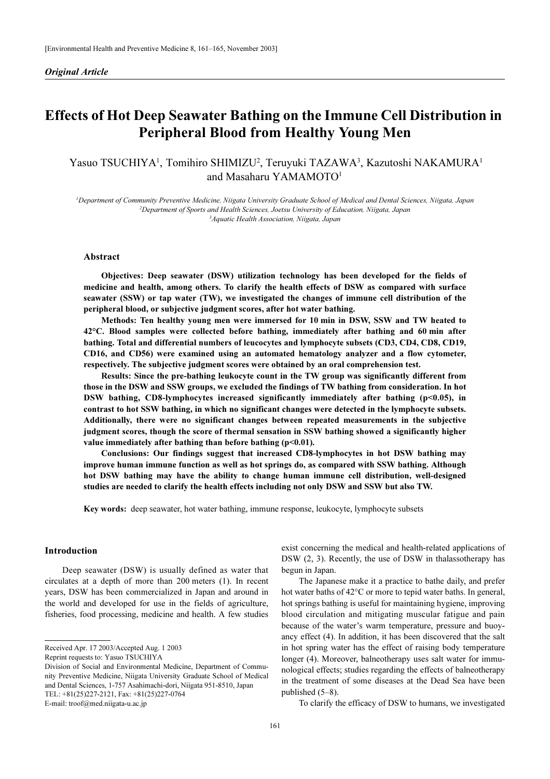# Effects of Hot Deep Seawater Bathing on the Immune Cell Distribution in Peripheral Blood from Healthy Young Men

# Yasuo TSUCHIYA<sup>1</sup>, Tomihiro SHIMIZU<sup>2</sup>, Teruyuki TAZAWA<sup>3</sup>, Kazutoshi NAKAMURA<sup>1</sup> and Masaharu YAMAMOTO<sup>1</sup>

1 Department of Community Preventive Medicine, Niigata University Graduate School of Medical and Dental Sciences, Niigata, Japan 2 Department of Sports and Health Sciences, Joetsu University of Education, Niigata, Japan <sup>3</sup> Aquatic Health Association, Niigata, Japan

# Abstract

Objectives: Deep seawater (DSW) utilization technology has been developed for the fields of medicine and health, among others. To clarify the health effects of DSW as compared with surface seawater (SSW) or tap water (TW), we investigated the changes of immune cell distribution of the peripheral blood, or subjective judgment scores, after hot water bathing.

Methods: Ten healthy young men were immersed for 10 min in DSW, SSW and TW heated to 42°C. Blood samples were collected before bathing, immediately after bathing and 60 min after bathing. Total and differential numbers of leucocytes and lymphocyte subsets (CD3, CD4, CD8, CD19, CD16, and CD56) were examined using an automated hematology analyzer and a flow cytometer, respectively. The subjective judgment scores were obtained by an oral comprehension test.

Results: Since the pre-bathing leukocyte count in the TW group was significantly different from those in the DSW and SSW groups, we excluded the findings of TW bathing from consideration. In hot DSW bathing, CD8-lymphocytes increased significantly immediately after bathing (p<0.05), in contrast to hot SSW bathing, in which no significant changes were detected in the lymphocyte subsets. Additionally, there were no significant changes between repeated measurements in the subjective judgment scores, though the score of thermal sensation in SSW bathing showed a significantly higher value immediately after bathing than before bathing (p<0.01).

Conclusions: Our findings suggest that increased CD8-lymphocytes in hot DSW bathing may improve human immune function as well as hot springs do, as compared with SSW bathing. Although hot DSW bathing may have the ability to change human immune cell distribution, well-designed studies are needed to clarify the health effects including not only DSW and SSW but also TW.

Key words: deep seawater, hot water bathing, immune response, leukocyte, lymphocyte subsets

# Introduction

Deep seawater (DSW) is usually defined as water that circulates at a depth of more than 200 meters (1). In recent years, DSW has been commercialized in Japan and around in the world and developed for use in the fields of agriculture, fisheries, food processing, medicine and health. A few studies

Received Apr. 17 2003/Accepted Aug. 1 2003

Reprint requests to: Yasuo TSUCHIYA

E-mail: troof@med.niigata-u.ac.jp

exist concerning the medical and health-related applications of DSW (2, 3). Recently, the use of DSW in thalassotherapy has begun in Japan.

The Japanese make it a practice to bathe daily, and prefer hot water baths of 42°C or more to tepid water baths. In general, hot springs bathing is useful for maintaining hygiene, improving blood circulation and mitigating muscular fatigue and pain because of the water's warm temperature, pressure and buoyancy effect (4). In addition, it has been discovered that the salt in hot spring water has the effect of raising body temperature longer (4). Moreover, balneotherapy uses salt water for immunological effects; studies regarding the effects of balneotherapy in the treatment of some diseases at the Dead Sea have been published (5–8).

To clarify the efficacy of DSW to humans, we investigated

Division of Social and Environmental Medicine, Department of Community Preventive Medicine, Niigata University Graduate School of Medical and Dental Sciences, 1-757 Asahimachi-dori, Niigata 951-8510, Japan TEL: +81(25)227-2121, Fax: +81(25)227-0764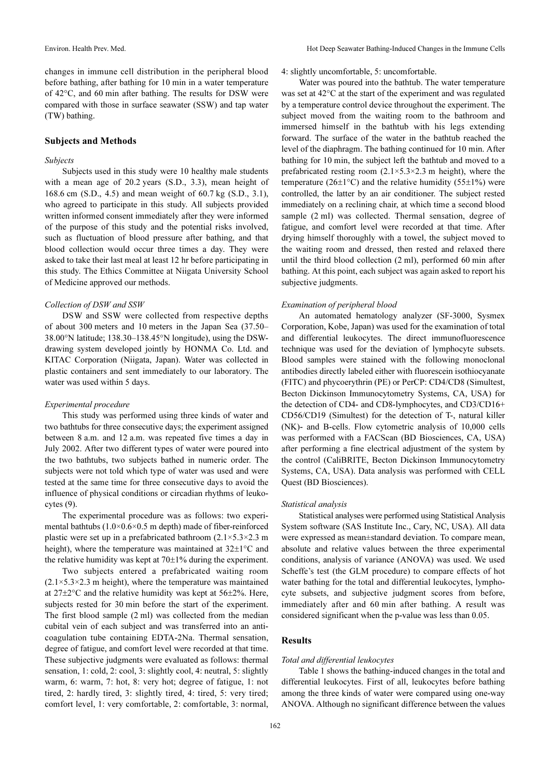changes in immune cell distribution in the peripheral blood before bathing, after bathing for 10 min in a water temperature of 42°C, and 60 min after bathing. The results for DSW were compared with those in surface seawater (SSW) and tap water (TW) bathing.

#### Subjects and Methods

#### Subjects

Subjects used in this study were 10 healthy male students with a mean age of 20.2 years (S.D., 3.3), mean height of 168.6 cm (S.D., 4.5) and mean weight of 60.7 kg (S.D., 3.1), who agreed to participate in this study. All subjects provided written informed consent immediately after they were informed of the purpose of this study and the potential risks involved, such as fluctuation of blood pressure after bathing, and that blood collection would occur three times a day. They were asked to take their last meal at least 12 hr before participating in this study. The Ethics Committee at Niigata University School of Medicine approved our methods.

#### Collection of DSW and SSW

DSW and SSW were collected from respective depths of about 300 meters and 10 meters in the Japan Sea (37.50– 38.00°N latitude; 138.30–138.45°N longitude), using the DSWdrawing system developed jointly by HONMA Co. Ltd. and KITAC Corporation (Niigata, Japan). Water was collected in plastic containers and sent immediately to our laboratory. The water was used within 5 days.

#### Experimental procedure

This study was performed using three kinds of water and two bathtubs for three consecutive days; the experiment assigned between 8 a.m. and 12 a.m. was repeated five times a day in July 2002. After two different types of water were poured into the two bathtubs, two subjects bathed in numeric order. The subjects were not told which type of water was used and were tested at the same time for three consecutive days to avoid the influence of physical conditions or circadian rhythms of leukocytes (9).

The experimental procedure was as follows: two experimental bathtubs (1.0×0.6×0.5 m depth) made of fiber-reinforced plastic were set up in a prefabricated bathroom  $(2.1 \times 5.3 \times 2.3 \text{ m})$ height), where the temperature was maintained at 32±1°C and the relative humidity was kept at 70±1% during the experiment.

Two subjects entered a prefabricated waiting room  $(2.1 \times 5.3 \times 2.3 \text{ m} \text{ height})$ , where the temperature was maintained at 27±2°C and the relative humidity was kept at 56±2%. Here, subjects rested for 30 min before the start of the experiment. The first blood sample (2 ml) was collected from the median cubital vein of each subject and was transferred into an anticoagulation tube containing EDTA-2Na. Thermal sensation, degree of fatigue, and comfort level were recorded at that time. These subjective judgments were evaluated as follows: thermal sensation, 1: cold, 2: cool, 3: slightly cool, 4: neutral, 5: slightly warm, 6: warm, 7: hot, 8: very hot; degree of fatigue, 1: not tired, 2: hardly tired, 3: slightly tired, 4: tired, 5: very tired; comfort level, 1: very comfortable, 2: comfortable, 3: normal,

4: slightly uncomfortable, 5: uncomfortable.

Water was poured into the bathtub. The water temperature was set at 42°C at the start of the experiment and was regulated by a temperature control device throughout the experiment. The subject moved from the waiting room to the bathroom and immersed himself in the bathtub with his legs extending forward. The surface of the water in the bathtub reached the level of the diaphragm. The bathing continued for 10 min. After bathing for 10 min, the subject left the bathtub and moved to a prefabricated resting room  $(2.1 \times 5.3 \times 2.3 \text{ m} \text{ height})$ , where the temperature (26 $\pm$ 1°C) and the relative humidity (55 $\pm$ 1%) were controlled, the latter by an air conditioner. The subject rested immediately on a reclining chair, at which time a second blood sample (2 ml) was collected. Thermal sensation, degree of fatigue, and comfort level were recorded at that time. After drying himself thoroughly with a towel, the subject moved to the waiting room and dressed, then rested and relaxed there until the third blood collection (2 ml), performed 60 min after bathing. At this point, each subject was again asked to report his subjective judgments.

#### Examination of peripheral blood

An automated hematology analyzer (SF-3000, Sysmex Corporation, Kobe, Japan) was used for the examination of total and differential leukocytes. The direct immunofluorescence technique was used for the deviation of lymphocyte subsets. Blood samples were stained with the following monoclonal antibodies directly labeled either with fluorescein isothiocyanate (FITC) and phycoerythrin (PE) or PerCP: CD4/CD8 (Simultest, Becton Dickinson Immunocytometry Systems, CA, USA) for the detection of CD4- and CD8-lymphocytes, and CD3/CD16+ CD56/CD19 (Simultest) for the detection of T-, natural killer (NK)- and B-cells. Flow cytometric analysis of 10,000 cells was performed with a FACScan (BD Biosciences, CA, USA) after performing a fine electrical adjustment of the system by the control (CaliBRITE, Becton Dickinson Immunocytometry Systems, CA, USA). Data analysis was performed with CELL Quest (BD Biosciences).

#### Statistical analysis

Statistical analyses were performed using Statistical Analysis System software (SAS Institute Inc., Cary, NC, USA). All data were expressed as mean±standard deviation. To compare mean, absolute and relative values between the three experimental conditions, analysis of variance (ANOVA) was used. We used Scheffe's test (the GLM procedure) to compare effects of hot water bathing for the total and differential leukocytes, lymphocyte subsets, and subjective judgment scores from before, immediately after and 60 min after bathing. A result was considered significant when the p-value was less than 0.05.

# Results

#### Total and differential leukocytes

Table 1 shows the bathing-induced changes in the total and differential leukocytes. First of all, leukocytes before bathing among the three kinds of water were compared using one-way ANOVA. Although no significant difference between the values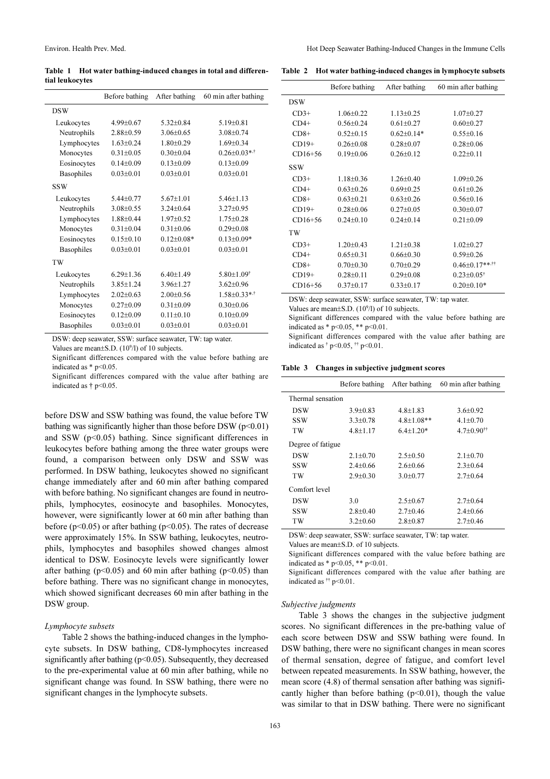Table 1 Hot water bathing-induced changes in total and differential leukocytes

|             | Before bathing | After bathing  | 60 min after bathing       |
|-------------|----------------|----------------|----------------------------|
| <b>DSW</b>  |                |                |                            |
| Leukocytes  | $4.99 + 0.67$  | $5.32+0.84$    | $519+0.81$                 |
| Neutrophils | $2.88 + 0.59$  | $3.06 + 0.65$  | $3.08 + 0.74$              |
| Lymphocytes | $163+0.24$     | $1.80 + 0.29$  | $1.69 + 0.34$              |
| Monocytes   | $0.31 + 0.05$  | $0.30 + 0.04$  | $0.26 + 0.03$ **           |
| Eosinocytes | $0.14 + 0.09$  | $0.13 + 0.09$  | $0.13 + 0.09$              |
| Basophiles  | $0.03 + 0.01$  | $0.03 + 0.01$  | $0.03 + 0.01$              |
| <b>SSW</b>  |                |                |                            |
| Leukocytes  | $5.44 + 0.77$  | $5.67 + 1.01$  | $5.46 + 1.13$              |
| Neutrophils | $3.08 + 0.55$  | $3.24 + 0.64$  | $3.27+0.95$                |
| Lymphocytes | $1.88 + 0.44$  | $1.97 + 0.52$  | $1.75 + 0.28$              |
| Monocytes   | $0.31 + 0.04$  | $0.31 + 0.06$  | $0.29 + 0.08$              |
| Eosinocytes | $0.15+0.10$    | $0.12 + 0.08*$ | $0.13 + 0.09*$             |
| Basophiles  | $0.03 + 0.01$  | $0.03 + 0.01$  | $0.03 + 0.01$              |
| TW          |                |                |                            |
| Leukocytes  | $6.29 + 1.36$  | $6.40+1.49$    | $5.80 + 1.09$ <sup>†</sup> |
| Neutrophils | $3.85 + 1.24$  | $3.96 + 1.27$  | $3.62 \pm 0.96$            |
| Lymphocytes | $2.02+0.63$    | $2.00+0.56$    | $1.58 + 0.33$ **           |
| Monocytes   | $0.27+0.09$    | $0.31 + 0.09$  | $0.30 + 0.06$              |
| Eosinocytes | $0.12 + 0.09$  | $0.11+0.10$    | $0.10+0.09$                |
| Basophiles  | $0.03 + 0.01$  | $0.03 + 0.01$  | $0.03 + 0.01$              |

DSW: deep seawater, SSW: surface seawater, TW: tap water.

Values are mean $\pm$ S.D. (10<sup>9</sup>/l) of 10 subjects.

Significant differences compared with the value before bathing are indicated as  $*$  p<0.05.

Significant differences compared with the value after bathing are indicated as  $\dagger$  p<0.05.

before DSW and SSW bathing was found, the value before TW bathing was significantly higher than those before  $DSW (p<0.01)$ and SSW  $(p<0.05)$  bathing. Since significant differences in leukocytes before bathing among the three water groups were found, a comparison between only DSW and SSW was performed. In DSW bathing, leukocytes showed no significant change immediately after and 60 min after bathing compared with before bathing. No significant changes are found in neutrophils, lymphocytes, eosinocyte and basophiles. Monocytes, however, were significantly lower at 60 min after bathing than before ( $p<0.05$ ) or after bathing ( $p<0.05$ ). The rates of decrease were approximately 15%. In SSW bathing, leukocytes, neutrophils, lymphocytes and basophiles showed changes almost identical to DSW. Eosinocyte levels were significantly lower after bathing ( $p<0.05$ ) and 60 min after bathing ( $p<0.05$ ) than before bathing. There was no significant change in monocytes, which showed significant decreases 60 min after bathing in the DSW group.

#### Lymphocyte subsets

Table 2 shows the bathing-induced changes in the lymphocyte subsets. In DSW bathing, CD8-lymphocytes increased significantly after bathing (p<0.05). Subsequently, they decreased to the pre-experimental value at 60 min after bathing, while no significant change was found. In SSW bathing, there were no significant changes in the lymphocyte subsets.

| Table 2 Hot water bathing-induced changes in lymphocyte subsets |  |
|-----------------------------------------------------------------|--|
|                                                                 |  |

|            | Before bathing  | After bathing    | 60 min after bathing    |
|------------|-----------------|------------------|-------------------------|
| <b>DSW</b> |                 |                  |                         |
| $CD3+$     | $1.06 + 0.22$   | $1.13 + 0.25$    | $1.07+0.27$             |
| $CD4+$     | $0.56 + 0.24$   | $0.61 + 0.27$    | $0.60 + 0.27$           |
| $CD8+$     | $0.52 \pm 0.15$ | $0.62 \pm 0.14*$ | $0.55 \pm 0.16$         |
| $CD19+$    | $0.26 + 0.08$   | $0.28 + 0.07$    | $0.28 + 0.06$           |
| $CD16+56$  | $0.19 + 0.06$   | $0.26 + 0.12$    | $0.22 \pm 0.11$         |
| <b>SSW</b> |                 |                  |                         |
| $CD3+$     | $1.18 + 0.36$   | $126+040$        | $1.09 + 0.26$           |
| $CD4+$     | $0.63 + 0.26$   | $0.69 \pm 0.25$  | $0.61 + 0.26$           |
| $CD8+$     | $0.63 + 0.21$   | $0.63 + 0.26$    | $0.56 + 0.16$           |
| $CD19+$    | $0.28 + 0.06$   | $0.27 + 0.05$    | $0.30 + 0.07$           |
| $CD16+56$  | $0.24 + 0.10$   | $0.24 + 0.14$    | $0.21 \pm 0.09$         |
| TW         |                 |                  |                         |
| $CD3+$     | $1.20+0.43$     | $1.21 + 0.38$    | $1.02 \pm 0.27$         |
| $CD4+$     | $0.65 + 0.31$   | $0.66 + 0.30$    | $0.59 + 0.26$           |
| $CD8+$     | $0.70 + 0.30$   | $0.70 + 0.29$    | $0.46 \pm 0.17$ ***     |
| $CD19+$    | $0.28 + 0.11$   | $0.29 + 0.08$    | $0.23 + 0.05^{\dagger}$ |
| CD16+56    | $0.37 \pm 0.17$ | $0.33 \pm 0.17$  | $0.20 \pm 0.10*$        |

DSW: deep seawater, SSW: surface seawater, TW: tap water. Values are mean±S.D. (10<sup>9</sup>/l) of 10 subjects.

Significant differences compared with the value before bathing are indicated as  $*$  p<0.05,  $**$  p<0.01.

Significant differences compared with the value after bathing are indicated as  $\dagger$  p<0.05,  $\dagger$  p<0.01.

Table 3 Changes in subjective judgment scores

|                   | Before bathing | After bathing   | 60 min after bathing          |
|-------------------|----------------|-----------------|-------------------------------|
| Thermal sensation |                |                 |                               |
| DSW               | $3.9 + 0.83$   | $4.8 + 1.83$    | $3.6 + 0.92$                  |
| SSW               | $3.3 + 0.78$   | $4.8 + 1.08$ ** | $4.1 + 0.70$                  |
| TW                | $4.8 + 1.17$   | $6.4+1.20*$     | $4.7 + 0.90^{\dagger\dagger}$ |
| Degree of fatigue |                |                 |                               |
| <b>DSW</b>        | $2.1 + 0.70$   | $2.5 + 0.50$    | $2.1 + 0.70$                  |
| SSW               | $2.4+0.66$     | $2.6 + 0.66$    | $2.3+0.64$                    |
| TW                | $2.9 + 0.30$   | $30+077$        | $2.7+0.64$                    |
| Comfort level     |                |                 |                               |
| DSW               | 30             | $2.5+0.67$      | $2.7+0.64$                    |
| SSW               | $2.8+0.40$     | $2.7+0.46$      | $2.4+0.66$                    |
| TW                | $3.2 + 0.60$   | $2.8 + 0.87$    | $2.7+0.46$                    |

DSW: deep seawater, SSW: surface seawater, TW: tap water.

Values are mean±S.D. of 10 subjects.

Significant differences compared with the value before bathing are indicated as  $*$  p<0.05,  $*$  + p<0.01.

Significant differences compared with the value after bathing are indicated as  $\text{^{\text{!`}}p<0.01}.$ 

#### Subjective judgments

Table 3 shows the changes in the subjective judgment scores. No significant differences in the pre-bathing value of each score between DSW and SSW bathing were found. In DSW bathing, there were no significant changes in mean scores of thermal sensation, degree of fatigue, and comfort level between repeated measurements. In SSW bathing, however, the mean score (4.8) of thermal sensation after bathing was significantly higher than before bathing  $(p<0.01)$ , though the value was similar to that in DSW bathing. There were no significant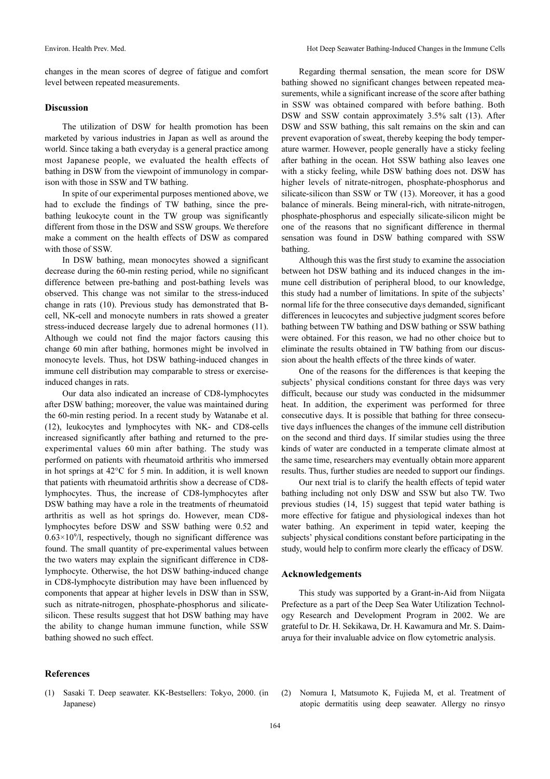changes in the mean scores of degree of fatigue and comfort level between repeated measurements.

#### Discussion

The utilization of DSW for health promotion has been marketed by various industries in Japan as well as around the world. Since taking a bath everyday is a general practice among most Japanese people, we evaluated the health effects of bathing in DSW from the viewpoint of immunology in comparison with those in SSW and TW bathing.

In spite of our experimental purposes mentioned above, we had to exclude the findings of TW bathing, since the prebathing leukocyte count in the TW group was significantly different from those in the DSW and SSW groups. We therefore make a comment on the health effects of DSW as compared with those of SSW.

In DSW bathing, mean monocytes showed a significant decrease during the 60-min resting period, while no significant difference between pre-bathing and post-bathing levels was observed. This change was not similar to the stress-induced change in rats (10). Previous study has demonstrated that Bcell, NK-cell and monocyte numbers in rats showed a greater stress-induced decrease largely due to adrenal hormones (11). Although we could not find the major factors causing this change 60 min after bathing, hormones might be involved in monocyte levels. Thus, hot DSW bathing-induced changes in immune cell distribution may comparable to stress or exerciseinduced changes in rats.

Our data also indicated an increase of CD8-lymphocytes after DSW bathing; moreover, the value was maintained during the 60-min resting period. In a recent study by Watanabe et al. (12), leukocytes and lymphocytes with NK- and CD8-cells increased significantly after bathing and returned to the preexperimental values 60 min after bathing. The study was performed on patients with rheumatoid arthritis who immersed in hot springs at 42°C for 5 min. In addition, it is well known that patients with rheumatoid arthritis show a decrease of CD8 lymphocytes. Thus, the increase of CD8-lymphocytes after DSW bathing may have a role in the treatments of rheumatoid arthritis as well as hot springs do. However, mean CD8 lymphocytes before DSW and SSW bathing were 0.52 and 0.63×10*<sup>9</sup>* /l, respectively, though no significant difference was found. The small quantity of pre-experimental values between the two waters may explain the significant difference in CD8 lymphocyte. Otherwise, the hot DSW bathing-induced change in CD8-lymphocyte distribution may have been influenced by components that appear at higher levels in DSW than in SSW, such as nitrate-nitrogen, phosphate-phosphorus and silicatesilicon. These results suggest that hot DSW bathing may have the ability to change human immune function, while SSW bathing showed no such effect.

Regarding thermal sensation, the mean score for DSW bathing showed no significant changes between repeated measurements, while a significant increase of the score after bathing in SSW was obtained compared with before bathing. Both DSW and SSW contain approximately 3.5% salt (13). After DSW and SSW bathing, this salt remains on the skin and can prevent evaporation of sweat, thereby keeping the body temperature warmer. However, people generally have a sticky feeling after bathing in the ocean. Hot SSW bathing also leaves one with a sticky feeling, while DSW bathing does not. DSW has higher levels of nitrate-nitrogen, phosphate-phosphorus and silicate-silicon than SSW or TW (13). Moreover, it has a good balance of minerals. Being mineral-rich, with nitrate-nitrogen, phosphate-phosphorus and especially silicate-silicon might be one of the reasons that no significant difference in thermal sensation was found in DSW bathing compared with SSW bathing.

Although this was the first study to examine the association between hot DSW bathing and its induced changes in the immune cell distribution of peripheral blood, to our knowledge, this study had a number of limitations. In spite of the subjects' normal life for the three consecutive days demanded, significant differences in leucocytes and subjective judgment scores before bathing between TW bathing and DSW bathing or SSW bathing were obtained. For this reason, we had no other choice but to eliminate the results obtained in TW bathing from our discussion about the health effects of the three kinds of water.

One of the reasons for the differences is that keeping the subjects' physical conditions constant for three days was very difficult, because our study was conducted in the midsummer heat. In addition, the experiment was performed for three consecutive days. It is possible that bathing for three consecutive days influences the changes of the immune cell distribution on the second and third days. If similar studies using the three kinds of water are conducted in a temperate climate almost at the same time, researchers may eventually obtain more apparent results. Thus, further studies are needed to support our findings.

Our next trial is to clarify the health effects of tepid water bathing including not only DSW and SSW but also TW. Two previous studies (14, 15) suggest that tepid water bathing is more effective for fatigue and physiological indexes than hot water bathing. An experiment in tepid water, keeping the subjects' physical conditions constant before participating in the study, would help to confirm more clearly the efficacy of DSW.

#### Acknowledgements

This study was supported by a Grant-in-Aid from Niigata Prefecture as a part of the Deep Sea Water Utilization Technology Research and Development Program in 2002. We are grateful to Dr. H. Sekikawa, Dr. H. Kawamura and Mr. S. Daimaruya for their invaluable advice on flow cytometric analysis.

#### References

- (1) Sasaki T. Deep seawater. KK-Bestsellers: Tokyo, 2000. (in Japanese)
- (2) Nomura I, Matsumoto K, Fujieda M, et al. Treatment of atopic dermatitis using deep seawater. Allergy no rinsyo